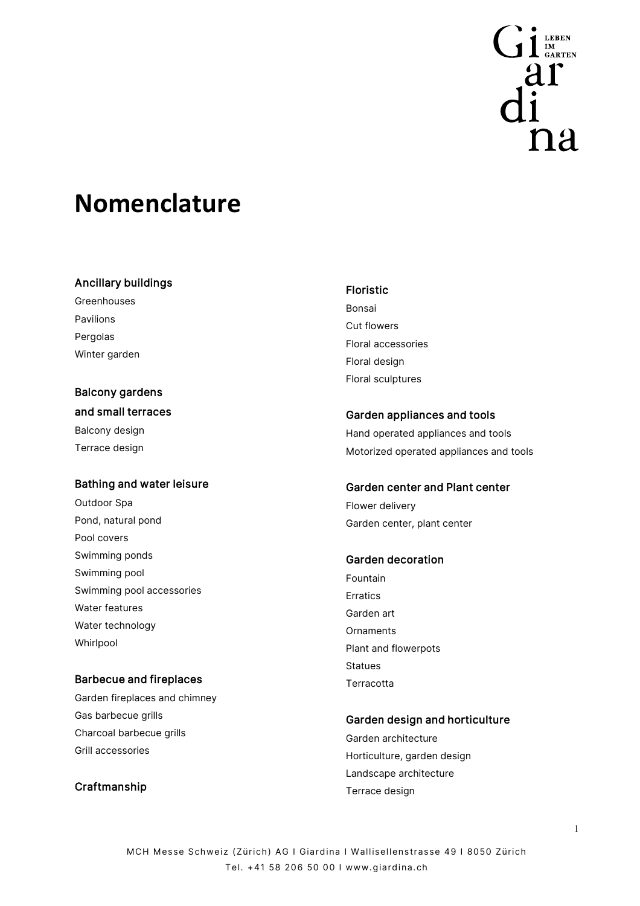

# **Nomenclature**

#### Ancillary buildings

Greenhouses Pavilions Pergolas Winter garden

# Balcony gardens and small terraces Balcony design

Terrace design

# Bathing and water leisure

Outdoor Spa Pond, natural pond Pool covers Swimming ponds Swimming pool Swimming pool accessories Water features Water technology Whirlpool

# Barbecue and fireplaces

Garden fireplaces and chimney Gas barbecue grills Charcoal barbecue grills Grill accessories

# Craftmanship

#### Floristic

Bonsai Cut flowers Floral accessories Floral design Floral sculptures

#### Garden appliances and tools

Hand operated appliances and tools Motorized operated appliances and tools

#### Garden center and Plant center

Flower delivery Garden center, plant center

### Garden decoration

Fountain Erratics Garden art **Ornaments** Plant and flowerpots Statues **Terracotta** 

#### Garden design and horticulture

Garden architecture Horticulture, garden design Landscape architecture Terrace design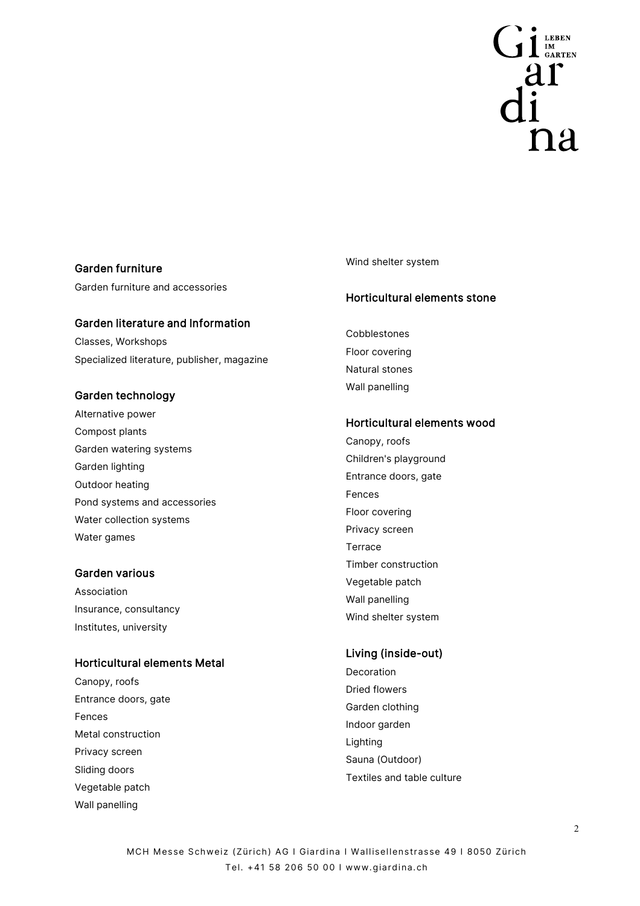

# Garden furniture

Garden furniture and accessories

#### Garden literature and Information

Classes, Workshops Specialized literature, publisher, magazine

#### Garden technology

Alternative power Compost plants Garden watering systems Garden lighting Outdoor heating Pond systems and accessories Water collection systems Water games

#### Garden various

Association Insurance, consultancy Institutes, university

#### Horticultural elements Metal

Canopy, roofs Entrance doors, gate Fences Metal construction Privacy screen Sliding doors Vegetable patch Wall panelling

#### Wind shelter system

#### Horticultural elements stone

Cobblestones Floor covering Natural stones Wall panelling

#### Horticultural elements wood

Canopy, roofs Children's playground Entrance doors, gate Fences Floor covering Privacy screen **Terrace** Timber construction Vegetable patch Wall panelling Wind shelter system

# Living (inside-out)

Decoration Dried flowers Garden clothing Indoor garden Lighting Sauna (Outdoor) Textiles and table culture